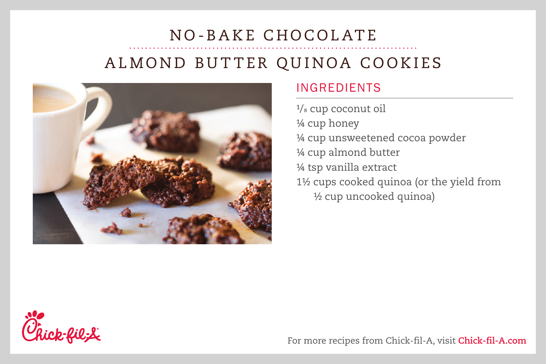## NO-BAKE CHOCOLATE ALMOND BUTTER QUINOA COOKIES



## INGREDIENTS

1/<sub>8</sub> cup coconut oil ¼ cup honey ¼ cup unsweetened cocoa powder ¼ cup almond butter ¼ tsp vanilla extract 1½ cups cooked quinoa (or the yield from ½ cup uncooked quinoa)



For more recipes from Chick-fil-A, visit **Chick-fil-A.com**